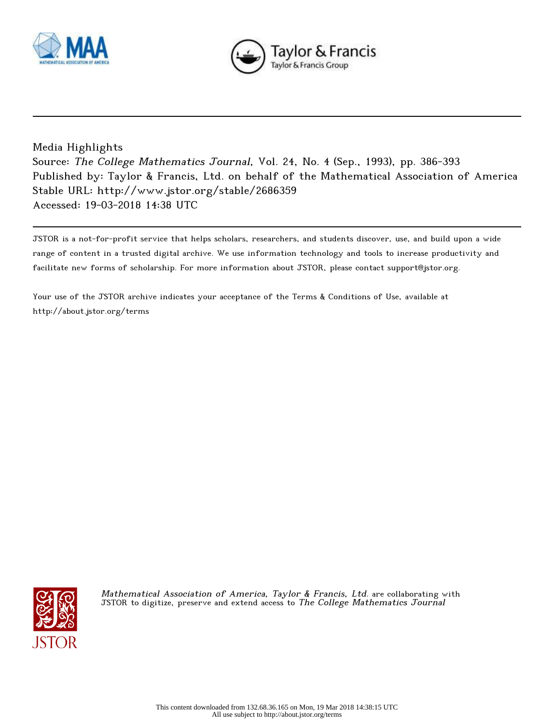



## Media Highlights

Source: The College Mathematics Journal, Vol. 24, No. 4 (Sep., 1993), pp. 386-393 Published by: Taylor & Francis, Ltd. on behalf of the Mathematical Association of America Stable URL: http://www.jstor.org/stable/2686359 Accessed: 19-03-2018 14:38 UTC

JSTOR is a not-for-profit service that helps scholars, researchers, and students discover, use, and build upon a wide range of content in a trusted digital archive. We use information technology and tools to increase productivity and facilitate new forms of scholarship. For more information about JSTOR, please contact support@jstor.org.

Your use of the JSTOR archive indicates your acceptance of the Terms & Conditions of Use, available at http://about.jstor.org/terms



Mathematical Association of America, Taylor & Francis, Ltd. are collaborating with JSTOR to digitize, preserve and extend access to The College Mathematics Journal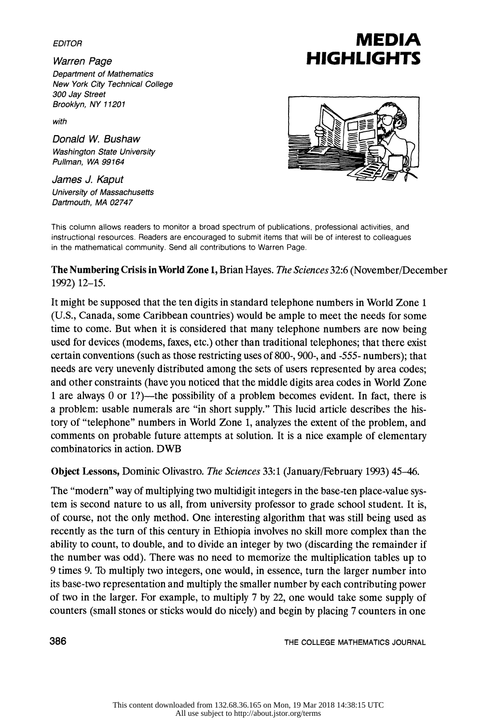Department of Mathematics New York City Technical College 300 Jay Street Brooklyn, NY 11201

with

 Donald W. Bushaw Washington State University Pullman, WA 99164

 James J. Kaput University of Massachusetts Dartmouth, MA 02747

## EDITOR EDITOR<br>Warren Page **HIGHLIGHTS**



 This column allows readers to monitor a broad spectrum of publications, professional activities, and instructional resources. Readers are encouraged to submit items that will be of interest to colleagues in the mathematical community. Send all contributions to Warren Page.

 The Numbering Crisis in World Zone 1, Brian Hayes. The Sciences 32:6 (November/December 1992) 12-15.

 It might be supposed that the ten digits in standard telephone numbers in World Zone 1 (U.S., Canada, some Caribbean countries) would be ample to meet the needs for some time to come. But when it is considered that many telephone numbers are now being used for devices (modems, faxes, etc.) other than traditional telephones; that there exist certain conventions (such as those restricting uses of 800-, 900-, and -555- numbers); that needs are very unevenly distributed among the sets of users represented by area codes; and other constraints (have you noticed that the middle digits area codes in World Zone 1 are always 0 or  $1$ ?)—the possibility of a problem becomes evident. In fact, there is a problem: usable numerals are "in short supply." This lucid article describes the his tory of "telephone" numbers in World Zone 1, analyzes the extent of the problem, and comments on probable future attempts at solution. It is a nice example of elementary combinatorics in action. DWB

Object Lessons, Dominic Olivastro. The Sciences 33:1 (January/February 1993) 45-46.

The "modern" way of multiplying two multidigit integers in the base-ten place-value sys tem is second nature to us all, from university professor to grade school student. It is, of course, not the only method. One interesting algorithm that was still being used as recently as the turn of this century in Ethiopia involves no skill more complex than the ability to count, to double, and to divide an integer by two (discarding the remainder if the number was odd). There was no need to memorize the multiplication tables up to 9 times 9. Tb multiply two integers, one would, in essence, turn the larger number into its base-two representation and multiply the smaller number by each contributing power of two in the larger. For example, to multiply 7 by 22, one would take some supply of counters (small stones or sticks would do nicely) and begin by placing 7 counters in one